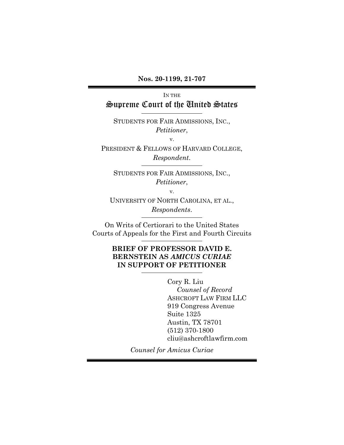**Nos. 20-1199, 21-707**

## IN THE Supreme Court of the United States

STUDENTS FOR FAIR ADMISSIONS, INC., *Petitioner*,

v.

PRESIDENT & FELLOWS OF HARVARD COLLEGE, *Respondent*.

STUDENTS FOR FAIR ADMISSIONS, INC., *Petitioner*,

v.

UNIVERSITY OF NORTH CAROLINA, ET AL., *Respondents*.

On Writs of Certiorari to the United States Courts of Appeals for the First and Fourth Circuits

### **BRIEF OF PROFESSOR DAVID E. BERNSTEIN AS** *AMICUS CURIAE*  **IN SUPPORT OF PETITIONER**

Cory R. Liu *Counsel of Record* ASHCROFT LAW FIRM LLC 919 Congress Avenue Suite 1325 Austin, TX 78701 (512) 370-1800 cliu@ashcroftlawfirm.com

*Counsel for Amicus Curiae*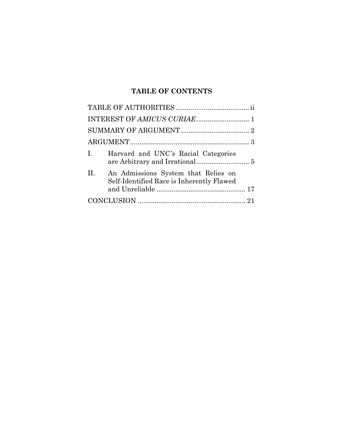# **TABLE OF CONTENTS**

| Harvard and UNC's Racial Categories<br>$\mathbf{I}$                                     |
|-----------------------------------------------------------------------------------------|
| II.<br>An Admissions System that Relies on<br>Self-Identified Race is Inherently Flawed |
|                                                                                         |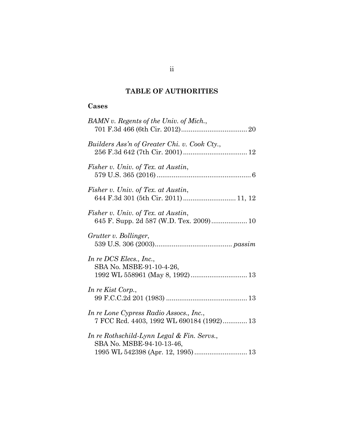## **TABLE OF AUTHORITIES**

## **Cases**

| BAMN v. Regents of the Univ. of Mich.,                                               |
|--------------------------------------------------------------------------------------|
| Builders Ass'n of Greater Chi. v. Cook Cty.,                                         |
| Fisher v. Univ. of Tex. at Austin,                                                   |
| Fisher v. Univ. of Tex. at Austin,<br>644 F.3d 301 (5th Cir. 2011) 11, 12            |
| Fisher v. Univ. of Tex. at Austin,                                                   |
| Grutter v. Bollinger,                                                                |
| In re DCS Elecs., Inc.,<br>SBA No. MSBE-91-10-4-26,                                  |
| In re Kist Corp.,                                                                    |
| In re Lone Cypress Radio Assocs., Inc.,<br>7 FCC Rcd. 4403, 1992 WL 690184 (1992) 13 |
| In re Rothschild-Lynn Legal & Fin. Servs.,<br>SBA No. MSBE-94-10-13-46,              |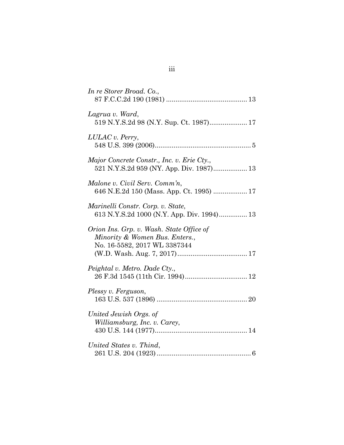| In re Storer Broad. Co.,                                                                                   |
|------------------------------------------------------------------------------------------------------------|
| Lagrua v. Ward,<br>519 N.Y.S.2d 98 (N.Y. Sup. Ct. 1987) 17                                                 |
| LULAC v. Perry,                                                                                            |
| Major Concrete Constr., Inc. v. Erie Cty.,                                                                 |
| Malone v. Civil Serv. Comm'n,                                                                              |
| Marinelli Constr. Corp. v. State,<br>613 N.Y.S.2d 1000 (N.Y. App. Div. 1994) 13                            |
| Orion Ins. Grp. v. Wash. State Office of<br>Minority & Women Bus. Enters.,<br>No. 16-5582, 2017 WL 3387344 |
| Peightal v. Metro. Dade Cty.,                                                                              |
| Plessy v. Ferguson,                                                                                        |
| United Jewish Orgs. of<br>Williamsburg, Inc. v. Carey,                                                     |
| United States v. Thind,                                                                                    |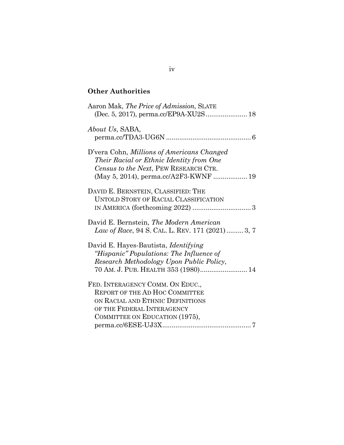# **Other Authorities**

| Aaron Mak, The Price of Admission, SLATE<br>(Dec. 5, 2017), perma.cc/EP9A-XU2S 18                                                                                             |
|-------------------------------------------------------------------------------------------------------------------------------------------------------------------------------|
| About Us, SABA,                                                                                                                                                               |
| D'vera Cohn, Millions of Americans Changed<br>Their Racial or Ethnic Identity from One<br>Census to the Next, PEW RESEARCH CTR.<br>(May 5, 2014), perma.cc/A2F3-KWNF  19      |
| DAVID E. BERNSTEIN, CLASSIFIED: THE<br><b>UNTOLD STORY OF RACIAL CLASSIFICATION</b>                                                                                           |
| David E. Bernstein, The Modern American<br>Law of Race, 94 S. CAL. L. REV. 171 (2021) 3, 7                                                                                    |
| David E. Hayes-Bautista, <i>Identifying</i><br>"Hispanic" Populations: The Influence of<br>Research Methodology Upon Public Policy,<br>70 AM. J. PUB. HEALTH 353 (1980) 14    |
| FED. INTERAGENCY COMM. ON EDUC.,<br><b>REPORT OF THE AD HOC COMMITTEE</b><br>ON RACIAL AND ETHNIC DEFINITIONS<br>OF THE FEDERAL INTERAGENCY<br>COMMITTEE ON EDUCATION (1975), |
|                                                                                                                                                                               |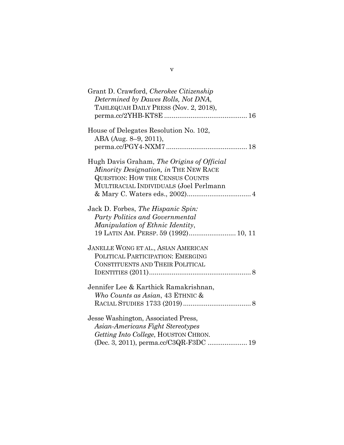| Grant D. Crawford, Cherokee Citizenship    |
|--------------------------------------------|
| Determined by Dawes Rolls, Not DNA,        |
| TAHLEQUAH DAILY PRESS (Nov. 2, 2018),      |
|                                            |
|                                            |
| House of Delegates Resolution No. 102,     |
| ABA (Aug. 8–9, 2011),                      |
|                                            |
|                                            |
| Hugh Davis Graham, The Origins of Official |
| Minority Designation, in THE NEW RACE      |
| <b>QUESTION: HOW THE CENSUS COUNTS</b>     |
|                                            |
| MULTIRACIAL INDIVIDUALS (Joel Perlmann     |
|                                            |
|                                            |
| Jack D. Forbes, The Hispanic Spin:         |
| Party Politics and Governmental            |
| Manipulation of Ethnic Identity,           |
| 19 LATIN AM. PERSP. 59 (1992) 10, 11       |
| JANELLE WONG ET AL., ASIAN AMERICAN        |
| POLITICAL PARTICIPATION: EMERGING          |
| CONSTITUENTS AND THEIR POLITICAL           |
|                                            |
|                                            |
| Jennifer Lee & Karthick Ramakrishnan,      |
| Who Counts as Asian, 43 ETHNIC &           |
|                                            |
|                                            |
| Jesse Washington, Associated Press,        |
| Asian-Americans Fight Stereotypes          |
| Getting Into College, HOUSTON CHRON.       |
|                                            |
| (Dec. 3, 2011), perma.cc/C3QR-F3DC  19     |

v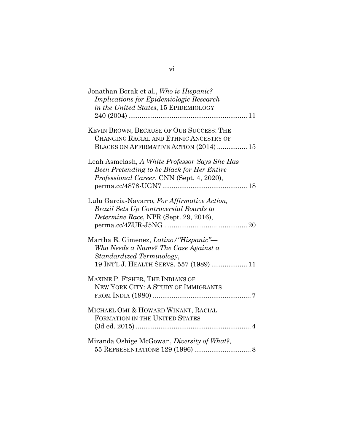| Jonathan Borak et al., Who is Hispanic?<br><b>Implications for Epidemiologic Research</b><br>in the United States, 15 EPIDEMIOLOGY                     |
|--------------------------------------------------------------------------------------------------------------------------------------------------------|
| KEVIN BROWN, BECAUSE OF OUR SUCCESS: THE<br>CHANGING RACIAL AND ETHNIC ANCESTRY OF<br>BLACKS ON AFFIRMATIVE ACTION (2014)  15                          |
| Leah Asmelash, A White Professor Says She Has<br>Been Pretending to be Black for Her Entire<br>Professional Career, CNN (Sept. 4, 2020),               |
| Lulu Garcia-Navarro, For Affirmative Action,<br>Brazil Sets Up Controversial Boards to<br>Determine Race, NPR (Sept. 29, 2016),                        |
| Martha E. Gimenez, Latino/"Hispanic"-<br>Who Needs a Name? The Case Against a<br>Standardized Terminology,<br>19 INT'L J. HEALTH SERVS. 557 (1989)  11 |
| MAXINE P. FISHER, THE INDIANS OF<br>NEW YORK CITY: A STUDY OF IMMIGRANTS                                                                               |
| MICHAEL OMI & HOWARD WINANT, RACIAL<br>FORMATION IN THE UNITED STATES                                                                                  |
| Miranda Oshige McGowan, Diversity of What?,                                                                                                            |

vi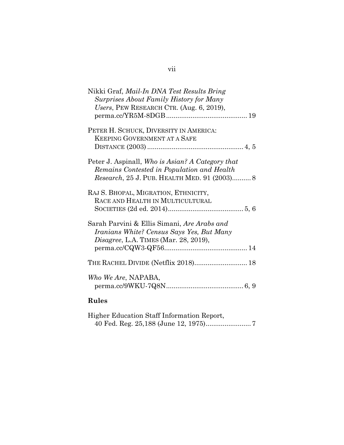| Nikki Graf, <i>Mail-In DNA Test Results Bring</i> |
|---------------------------------------------------|
| Surprises About Family History for Many           |
| Users, PEW RESEARCH CTR. (Aug. 6, 2019),          |
|                                                   |
|                                                   |
| PETER H. SCHUCK, DIVERSITY IN AMERICA:            |
| <b>KEEPING GOVERNMENT AT A SAFE</b>               |
|                                                   |
|                                                   |
| Peter J. Aspinall, Who is Asian? A Category that  |
| Remains Contested in Population and Health        |
| Research, 25 J. PUB. HEALTH MED. 91 (2003) 8      |
|                                                   |
| RAJ S. BHOPAL, MIGRATION, ETHNICITY,              |
| RACE AND HEALTH IN MULTICULTURAL                  |
|                                                   |
|                                                   |
| Sarah Parvini & Ellis Simani, Are Arabs and       |
| Iranians White? Census Says Yes, But Many         |
|                                                   |
| <i>Disagree, L.A. TIMES (Mar. 28, 2019),</i>      |
|                                                   |
|                                                   |
| THE RACHEL DIVIDE (Netflix 2018) 18               |
|                                                   |
| Who We Are, NAPABA,                               |
|                                                   |
|                                                   |
| Rules                                             |

|  | Higher Education Staff Information Report, |  |  |
|--|--------------------------------------------|--|--|
|  |                                            |  |  |

# vii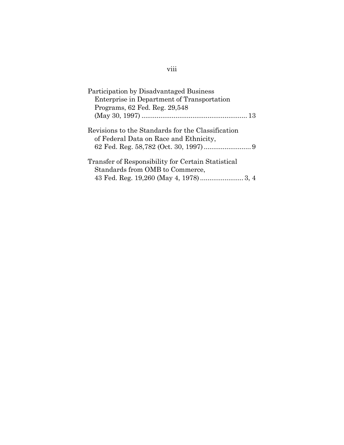| Participation by Disadvantaged Business            |
|----------------------------------------------------|
| Enterprise in Department of Transportation         |
| Programs, 62 Fed. Reg. 29,548                      |
|                                                    |
| Revisions to the Standards for the Classification  |
| of Federal Data on Race and Ethnicity,             |
|                                                    |
| Transfer of Responsibility for Certain Statistical |
| Standards from OMB to Commerce,                    |
|                                                    |

# viii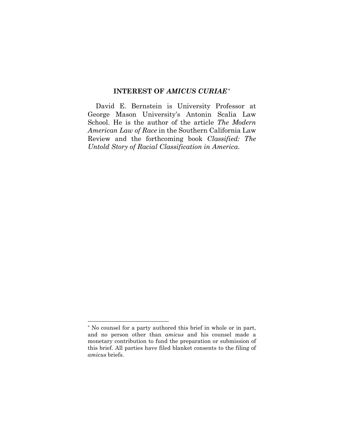#### **INTEREST OF** *AMICUS CURIAE*[\\*](#page-9-1)

<span id="page-9-0"></span>David E. Bernstein is University Professor at George Mason University's Antonin Scalia Law School. He is the author of the article *The Modern American Law of Race* in the Southern California Law Review and the forthcoming book *Classified: The Untold Story of Racial Classification in America*.

<span id="page-9-1"></span><sup>\*</sup> No counsel for a party authored this brief in whole or in part, and no person other than *amicus* and his counsel made a monetary contribution to fund the preparation or submission of this brief. All parties have filed blanket consents to the filing of *amicus* briefs.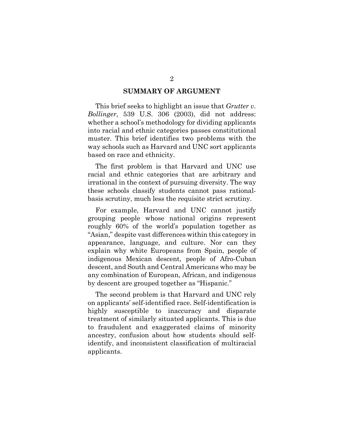#### **SUMMARY OF ARGUMENT**

<span id="page-10-0"></span>This brief seeks to highlight an issue that *Grutter v. Bollinger*, 539 U.S. 306 (2003), did not address: whether a school's methodology for dividing applicants into racial and ethnic categories passes constitutional muster. This brief identifies two problems with the way schools such as Harvard and UNC sort applicants based on race and ethnicity.

The first problem is that Harvard and UNC use racial and ethnic categories that are arbitrary and irrational in the context of pursuing diversity. The way these schools classify students cannot pass rationalbasis scrutiny, much less the requisite strict scrutiny.

For example, Harvard and UNC cannot justify grouping people whose national origins represent roughly 60% of the world's population together as "Asian," despite vast differences within this category in appearance, language, and culture. Nor can they explain why white Europeans from Spain, people of indigenous Mexican descent, people of Afro-Cuban descent, and South and Central Americans who may be any combination of European, African, and indigenous by descent are grouped together as "Hispanic."

The second problem is that Harvard and UNC rely on applicants' self-identified race. Self-identification is highly susceptible to inaccuracy and disparate treatment of similarly situated applicants. This is due to fraudulent and exaggerated claims of minority ancestry, confusion about how students should selfidentify, and inconsistent classification of multiracial applicants.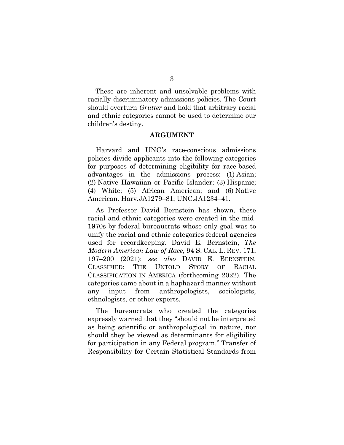These are inherent and unsolvable problems with racially discriminatory admissions policies. The Court should overturn *Grutter* and hold that arbitrary racial and ethnic categories cannot be used to determine our children's destiny.

#### **ARGUMENT**

<span id="page-11-0"></span>Harvard and UNC's race-conscious admissions policies divide applicants into the following categories for purposes of determining eligibility for race-based advantages in the admissions process: (1) Asian; (2) Native Hawaiian or Pacific Islander; (3) Hispanic; (4) White; (5) African American; and (6) Native American. Harv.JA1279–81; UNC.JA1234–41.

As Professor David Bernstein has shown, these racial and ethnic categories were created in the mid-1970s by federal bureaucrats whose only goal was to unify the racial and ethnic categories federal agencies used for recordkeeping. David E. Bernstein, *The Modern American Law of Race*, 94 S. CAL. L. REV. 171, 197–200 (2021); *see also* DAVID E. BERNSTEIN, CLASSIFIED: THE UNTOLD STORY OF RACIAL CLASSIFICATION IN AMERICA (forthcoming 2022). The categories came about in a haphazard manner without any input from anthropologists, sociologists, ethnologists, or other experts.

The bureaucrats who created the categories expressly warned that they "should not be interpreted as being scientific or anthropological in nature, nor should they be viewed as determinants for eligibility for participation in any Federal program." Transfer of Responsibility for Certain Statistical Standards from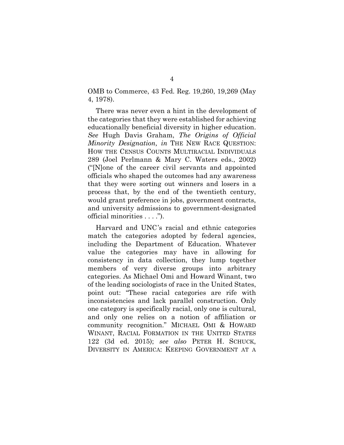OMB to Commerce, 43 Fed. Reg. 19,260, 19,269 (May 4, 1978).

There was never even a hint in the development of the categories that they were established for achieving educationally beneficial diversity in higher education. *See* Hugh Davis Graham, *The Origins of Official Minority Designation, in* THE NEW RACE QUESTION: HOW THE CENSUS COUNTS MULTIRACIAL INDIVIDUALS 289 (Joel Perlmann & Mary C. Waters eds., 2002) ("[N]one of the career civil servants and appointed officials who shaped the outcomes had any awareness that they were sorting out winners and losers in a process that, by the end of the twentieth century, would grant preference in jobs, government contracts, and university admissions to government-designated official minorities . . . .").

Harvard and UNC's racial and ethnic categories match the categories adopted by federal agencies, including the Department of Education. Whatever value the categories may have in allowing for consistency in data collection, they lump together members of very diverse groups into arbitrary categories. As Michael Omi and Howard Winant, two of the leading sociologists of race in the United States, point out: "These racial categories are rife with inconsistencies and lack parallel construction. Only one category is specifically racial, only one is cultural, and only one relies on a notion of affiliation or community recognition." MICHAEL OMI & HOWARD WINANT, RACIAL FORMATION IN THE UNITED STATES 122 (3d ed. 2015); *see also* PETER H. SCHUCK, DIVERSITY IN AMERICA: KEEPING GOVERNMENT AT A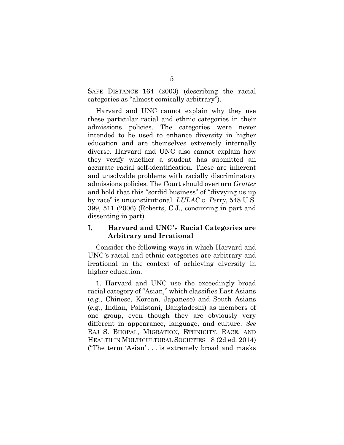SAFE DISTANCE 164 (2003) (describing the racial categories as "almost comically arbitrary").

Harvard and UNC cannot explain why they use these particular racial and ethnic categories in their admissions policies. The categories were never intended to be used to enhance diversity in higher education and are themselves extremely internally diverse. Harvard and UNC also cannot explain how they verify whether a student has submitted an accurate racial self-identification. These are inherent and unsolvable problems with racially discriminatory admissions policies. The Court should overturn *Grutter* and hold that this "sordid business" of "divvying us up by race" is unconstitutional. *LULAC v. Perry*, 548 U.S. 399, 511 (2006) (Roberts, C.J., concurring in part and dissenting in part).

### <span id="page-13-0"></span>I. **Harvard and UNC's Racial Categories are Arbitrary and Irrational**

Consider the following ways in which Harvard and UNC's racial and ethnic categories are arbitrary and irrational in the context of achieving diversity in higher education.

1. Harvard and UNC use the exceedingly broad racial category of "Asian," which classifies East Asians (*e.g.*, Chinese, Korean, Japanese) and South Asians (*e.g.*, Indian, Pakistani, Bangladeshi) as members of one group, even though they are obviously very different in appearance, language, and culture. *See* RAJ S. BHOPAL, MIGRATION, ETHNICITY, RACE, AND HEALTH IN MULTICULTURAL SOCIETIES 18 (2d ed. 2014) ("The term 'Asian' . . . is extremely broad and masks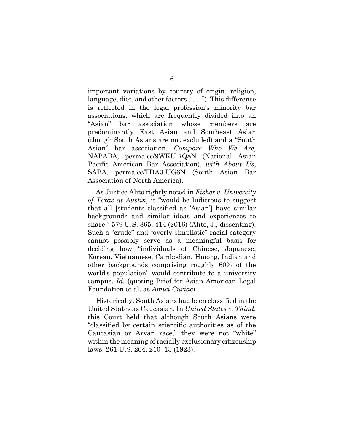important variations by country of origin, religion, language, diet, and other factors . . . ."). This difference is reflected in the legal profession's minority bar associations, which are frequently divided into an "Asian" bar association whose members are predominantly East Asian and Southeast Asian (though South Asians are not excluded) and a "South Asian" bar association. *Compare Who We Are*, NAPABA, perma.cc/9WKU-7Q8N (National Asian Pacific American Bar Association), *with About Us*, SABA, perma.cc/TDA3-UG6N (South Asian Bar Association of North America).

As Justice Alito rightly noted in *Fisher v. University of Texas at Austin*, it "would be ludicrous to suggest that all [students classified as 'Asian'] have similar backgrounds and similar ideas and experiences to share." 579 U.S. 365, 414 (2016) (Alito, J., dissenting). Such a "crude" and "overly simplistic" racial category cannot possibly serve as a meaningful basis for deciding how "individuals of Chinese, Japanese, Korean, Vietnamese, Cambodian, Hmong, Indian and other backgrounds comprising roughly 60% of the world's population" would contribute to a university campus. *Id.* (quoting Brief for Asian American Legal Foundation et al. as *Amici Curiae*).

Historically, South Asians had been classified in the United States as Caucasian. In *United States v. Thind*, this Court held that although South Asians were "classified by certain scientific authorities as of the Caucasian or Aryan race," they were not "white" within the meaning of racially exclusionary citizenship laws. 261 U.S. 204, 210–13 (1923).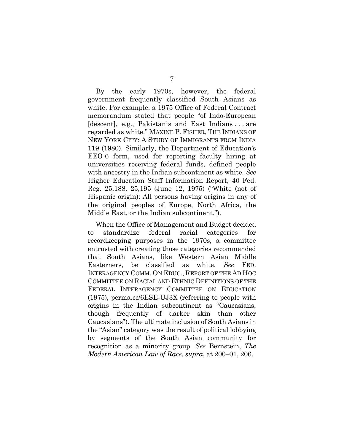By the early 1970s, however, the federal government frequently classified South Asians as white. For example, a 1975 Office of Federal Contract memorandum stated that people "of Indo-European [descent], e.g., Pakistanis and East Indians . . . are regarded as white." MAXINE P. FISHER, THE INDIANS OF NEW YORK CITY: A STUDY OF IMMIGRANTS FROM INDIA 119 (1980). Similarly, the Department of Education's EEO-6 form, used for reporting faculty hiring at universities receiving federal funds, defined people with ancestry in the Indian subcontinent as white. *See* Higher Education Staff Information Report, 40 Fed. Reg. 25,188, 25,195 (June 12, 1975) ("White (not of Hispanic origin): All persons having origins in any of the original peoples of Europe, North Africa, the Middle East, or the Indian subcontinent.").

When the Office of Management and Budget decided to standardize federal racial categories for recordkeeping purposes in the 1970s, a committee entrusted with creating those categories recommended that South Asians, like Western Asian Middle Easterners, be classified as white. *See* FED. INTERAGENCY COMM. ON EDUC., REPORT OF THE AD HOC COMMITTEE ON RACIAL AND ETHNIC DEFINITIONS OF THE FEDERAL INTERAGENCY COMMITTEE ON EDUCATION (1975), perma.cc/6ESE-UJ3X (referring to people with origins in the Indian subcontinent as "Caucasians, though frequently of darker skin than other Caucasians"). The ultimate inclusion of South Asians in the "Asian" category was the result of political lobbying by segments of the South Asian community for recognition as a minority group. *See* Bernstein, *The Modern American Law of Race*, *supra*, at 200–01, 206.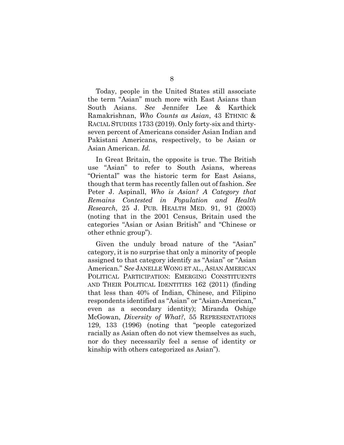Today, people in the United States still associate the term "Asian" much more with East Asians than South Asians. *See* Jennifer Lee & Karthick Ramakrishnan, *Who Counts as Asian*, 43 ETHNIC & RACIAL STUDIES 1733 (2019). Only forty-six and thirtyseven percent of Americans consider Asian Indian and Pakistani Americans, respectively, to be Asian or Asian American. *Id.*

In Great Britain, the opposite is true. The British use "Asian" to refer to South Asians, whereas "Oriental" was the historic term for East Asians, though that term has recently fallen out of fashion. *See* Peter J. Aspinall, *Who is Asian? A Category that Remains Contested in Population and Health Research*, 25 J. PUB. HEALTH MED. 91, 91 (2003) (noting that in the 2001 Census, Britain used the categories "Asian or Asian British" and "Chinese or other ethnic group").

Given the unduly broad nature of the "Asian" category, it is no surprise that only a minority of people assigned to that category identify as "Asian" or "Asian American." *See* JANELLE WONG ET AL., ASIAN AMERICAN POLITICAL PARTICIPATION: EMERGING CONSTITUENTS AND THEIR POLITICAL IDENTITIES 162 (2011) (finding that less than 40% of Indian, Chinese, and Filipino respondents identified as "Asian" or "Asian-American," even as a secondary identity); Miranda Oshige McGowan, *Diversity of What?*, 55 REPRESENTATIONS 129, 133 (1996) (noting that "people categorized racially as Asian often do not view themselves as such, nor do they necessarily feel a sense of identity or kinship with others categorized as Asian").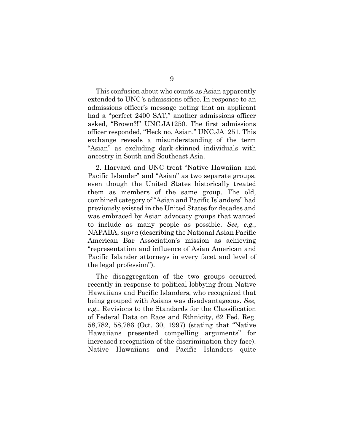This confusion about who counts as Asian apparently extended to UNC's admissions office. In response to an admissions officer's message noting that an applicant had a "perfect 2400 SAT," another admissions officer asked, "Brown?!" UNC.JA1250. The first admissions officer responded, "Heck no. Asian." UNC.JA1251. This exchange reveals a misunderstanding of the term "Asian" as excluding dark-skinned individuals with ancestry in South and Southeast Asia.

2. Harvard and UNC treat "Native Hawaiian and Pacific Islander" and "Asian" as two separate groups, even though the United States historically treated them as members of the same group. The old, combined category of "Asian and Pacific Islanders" had previously existed in the United States for decades and was embraced by Asian advocacy groups that wanted to include as many people as possible. *See, e.g.*, NAPABA, *supra* (describing the National Asian Pacific American Bar Association's mission as achieving "representation and influence of Asian American and Pacific Islander attorneys in every facet and level of the legal profession").

The disaggregation of the two groups occurred recently in response to political lobbying from Native Hawaiians and Pacific Islanders, who recognized that being grouped with Asians was disadvantageous. *See, e.g.*, Revisions to the Standards for the Classification of Federal Data on Race and Ethnicity, 62 Fed. Reg. 58,782, 58,786 (Oct. 30, 1997) (stating that "Native Hawaiians presented compelling arguments" for increased recognition of the discrimination they face). Native Hawaiians and Pacific Islanders quite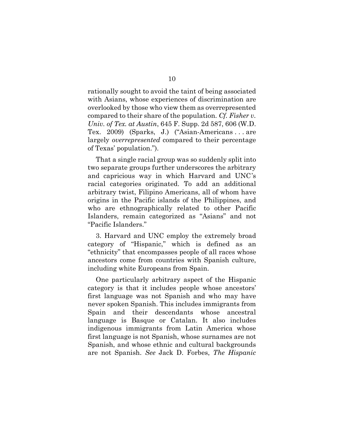rationally sought to avoid the taint of being associated with Asians, whose experiences of discrimination are overlooked by those who view them as overrepresented compared to their share of the population. *Cf. Fisher v. Univ. of Tex. at Austin*, 645 F. Supp. 2d 587, 606 (W.D. Tex. 2009) (Sparks, J.) ("Asian-Americans . . . are largely *overrepresented* compared to their percentage of Texas' population.").

That a single racial group was so suddenly split into two separate groups further underscores the arbitrary and capricious way in which Harvard and UNC's racial categories originated. To add an additional arbitrary twist, Filipino Americans, all of whom have origins in the Pacific islands of the Philippines, and who are ethnographically related to other Pacific Islanders, remain categorized as "Asians" and not "Pacific Islanders."

3. Harvard and UNC employ the extremely broad category of "Hispanic," which is defined as an "ethnicity" that encompasses people of all races whose ancestors come from countries with Spanish culture, including white Europeans from Spain.

One particularly arbitrary aspect of the Hispanic category is that it includes people whose ancestors' first language was not Spanish and who may have never spoken Spanish. This includes immigrants from Spain and their descendants whose ancestral language is Basque or Catalan. It also includes indigenous immigrants from Latin America whose first language is not Spanish, whose surnames are not Spanish, and whose ethnic and cultural backgrounds are not Spanish. *See* Jack D. Forbes, *The Hispanic*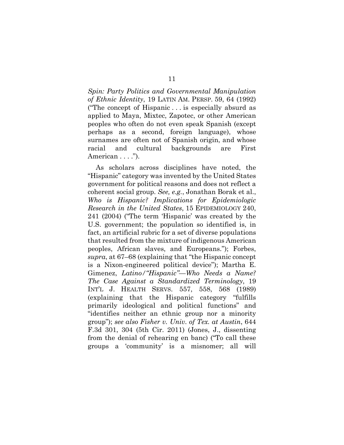*Spin: Party Politics and Governmental Manipulation of Ethnic Identity*, 19 LATIN AM. PERSP. 59, 64 (1992) ("The concept of Hispanic . . . is especially absurd as applied to Maya, Mixtec, Zapotec, or other American peoples who often do not even speak Spanish (except perhaps as a second, foreign language), whose surnames are often not of Spanish origin, and whose racial and cultural backgrounds are First American . . . .").

As scholars across disciplines have noted, the "Hispanic" category was invented by the United States government for political reasons and does not reflect a coherent social group. *See, e.g.*, Jonathan Borak et al., *Who is Hispanic? Implications for Epidemiologic Research in the United States*, 15 EPIDEMIOLOGY 240, 241 (2004) ("The term 'Hispanic' was created by the U.S. government; the population so identified is, in fact, an artificial rubric for a set of diverse populations that resulted from the mixture of indigenous American peoples, African slaves, and Europeans."); Forbes, *supra*, at 67–68 (explaining that "the Hispanic concept is a Nixon-engineered political device"); Martha E. Gimenez, *Latino/"Hispanic"—Who Needs a Name? The Case Against a Standardized Terminology*, 19 INT'L J. HEALTH SERVS. 557, 558, 568 (1989) (explaining that the Hispanic category "fulfills primarily ideological and political functions" and "identifies neither an ethnic group nor a minority group"); *see also Fisher v. Univ. of Tex. at Austin*, 644 F.3d 301, 304 (5th Cir. 2011) (Jones, J., dissenting from the denial of rehearing en banc) ("To call these groups a 'community' is a misnomer; all will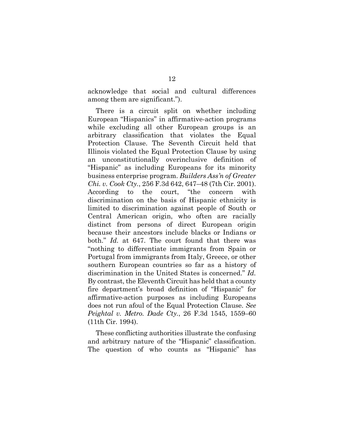acknowledge that social and cultural differences among them are significant.").

There is a circuit split on whether including European "Hispanics" in affirmative-action programs while excluding all other European groups is an arbitrary classification that violates the Equal Protection Clause. The Seventh Circuit held that Illinois violated the Equal Protection Clause by using an unconstitutionally overinclusive definition of "Hispanic" as including Europeans for its minority business enterprise program. *Builders Ass'n of Greater Chi. v. Cook Cty.*, 256 F.3d 642, 647–48 (7th Cir. 2001). According to the court, "the concern with discrimination on the basis of Hispanic ethnicity is limited to discrimination against people of South or Central American origin, who often are racially distinct from persons of direct European origin because their ancestors include blacks or Indians or both." *Id.* at 647. The court found that there was "nothing to differentiate immigrants from Spain or Portugal from immigrants from Italy, Greece, or other southern European countries so far as a history of discrimination in the United States is concerned." *Id.* By contrast, the Eleventh Circuit has held that a county fire department's broad definition of "Hispanic" for affirmative-action purposes as including Europeans does not run afoul of the Equal Protection Clause. *See Peightal v. Metro. Dade Cty.*, 26 F.3d 1545, 1559–60 (11th Cir. 1994).

These conflicting authorities illustrate the confusing and arbitrary nature of the "Hispanic" classification. The question of who counts as "Hispanic" has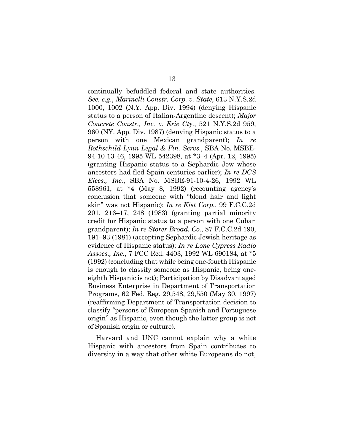continually befuddled federal and state authorities. *See, e.g.*, *Marinelli Constr. Corp. v. State*, 613 N.Y.S.2d 1000, 1002 (N.Y. App. Div. 1994) (denying Hispanic status to a person of Italian-Argentine descent); *Major Concrete Constr., Inc. v. Erie Cty.*, 521 N.Y.S.2d 959, 960 (NY. App. Div. 1987) (denying Hispanic status to a person with one Mexican grandparent); *In re Rothschild-Lynn Legal & Fin. Servs.*, SBA No. MSBE-94-10-13-46, 1995 WL 542398, at \*3–4 (Apr. 12, 1995) (granting Hispanic status to a Sephardic Jew whose ancestors had fled Spain centuries earlier); *In re DCS Elecs., Inc.*, SBA No. MSBE-91-10-4-26, 1992 WL 558961, at \*4 (May 8, 1992) (recounting agency's conclusion that someone with "blond hair and light skin" was not Hispanic); *In re Kist Corp.*, 99 F.C.C.2d 201, 216–17, 248 (1983) (granting partial minority credit for Hispanic status to a person with one Cuban grandparent); *In re Storer Broad. Co.*, 87 F.C.C.2d 190, 191–93 (1981) (accepting Sephardic Jewish heritage as evidence of Hispanic status); *In re Lone Cypress Radio Assocs., Inc.*, 7 FCC Rcd. 4403, 1992 WL 690184, at \*5 (1992) (concluding that while being one-fourth Hispanic is enough to classify someone as Hispanic, being oneeighth Hispanic is not); Participation by Disadvantaged Business Enterprise in Department of Transportation Programs, 62 Fed. Reg. 29,548, 29,550 (May 30, 1997) (reaffirming Department of Transportation decision to classify "persons of European Spanish and Portuguese origin" as Hispanic, even though the latter group is not of Spanish origin or culture).

Harvard and UNC cannot explain why a white Hispanic with ancestors from Spain contributes to diversity in a way that other white Europeans do not,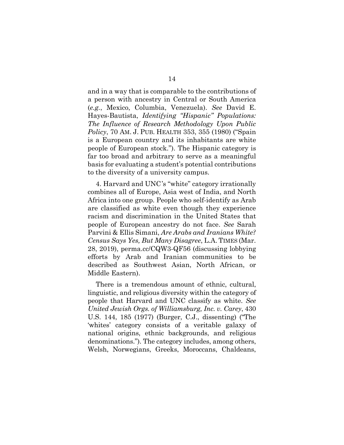and in a way that is comparable to the contributions of a person with ancestry in Central or South America (*e.g.*, Mexico, Columbia, Venezuela). *See* David E. Hayes-Bautista, *Identifying "Hispanic" Populations: The Influence of Research Methodology Upon Public Policy*, 70 AM. J. PUB. HEALTH 353, 355 (1980) ("Spain is a European country and its inhabitants are white people of European stock."). The Hispanic category is far too broad and arbitrary to serve as a meaningful basis for evaluating a student's potential contributions to the diversity of a university campus.

4. Harvard and UNC's "white" category irrationally combines all of Europe, Asia west of India, and North Africa into one group. People who self-identify as Arab are classified as white even though they experience racism and discrimination in the United States that people of European ancestry do not face. *See* Sarah Parvini & Ellis Simani, *Are Arabs and Iranians White? Census Says Yes, But Many Disagree*, L.A. TIMES (Mar. 28, 2019), perma.cc/CQW3-QF56 (discussing lobbying efforts by Arab and Iranian communities to be described as Southwest Asian, North African, or Middle Eastern).

There is a tremendous amount of ethnic, cultural, linguistic, and religious diversity within the category of people that Harvard and UNC classify as white. *See United Jewish Orgs. of Williamsburg, Inc. v. Carey*, 430 U.S. 144, 185 (1977) (Burger, C.J., dissenting) ("The 'whites' category consists of a veritable galaxy of national origins, ethnic backgrounds, and religious denominations."). The category includes, among others, Welsh, Norwegians, Greeks, Moroccans, Chaldeans,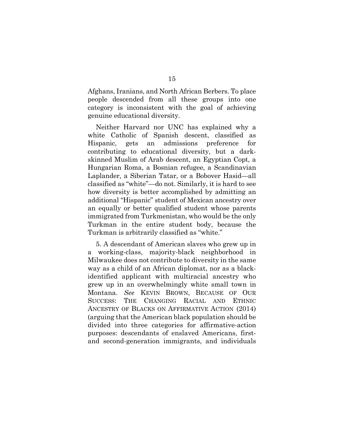Afghans, Iranians, and North African Berbers. To place people descended from all these groups into one category is inconsistent with the goal of achieving genuine educational diversity.

Neither Harvard nor UNC has explained why a white Catholic of Spanish descent, classified as Hispanic, gets an admissions preference for contributing to educational diversity, but a darkskinned Muslim of Arab descent, an Egyptian Copt, a Hungarian Roma, a Bosnian refugee, a Scandinavian Laplander, a Siberian Tatar, or a Bobover Hasid—all classified as "white"—do not. Similarly, it is hard to see how diversity is better accomplished by admitting an additional "Hispanic" student of Mexican ancestry over an equally or better qualified student whose parents immigrated from Turkmenistan, who would be the only Turkman in the entire student body, because the Turkman is arbitrarily classified as "white."

5. A descendant of American slaves who grew up in a working-class, majority-black neighborhood in Milwaukee does not contribute to diversity in the same way as a child of an African diplomat, nor as a blackidentified applicant with multiracial ancestry who grew up in an overwhelmingly white small town in Montana. *See* KEVIN BROWN, BECAUSE OF OUR SUCCESS: THE CHANGING RACIAL AND ETHNIC ANCESTRY OF BLACKS ON AFFIRMATIVE ACTION (2014) (arguing that the American black population should be divided into three categories for affirmative-action purposes: descendants of enslaved Americans, firstand second-generation immigrants, and individuals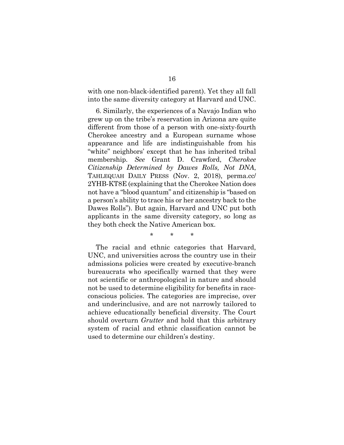with one non-black-identified parent). Yet they all fall into the same diversity category at Harvard and UNC.

6. Similarly, the experiences of a Navajo Indian who grew up on the tribe's reservation in Arizona are quite different from those of a person with one-sixty-fourth Cherokee ancestry and a European surname whose appearance and life are indistinguishable from his "white" neighbors' except that he has inherited tribal membership. *See* Grant D. Crawford, *Cherokee Citizenship Determined by Dawes Rolls, Not DNA*, TAHLEQUAH DAILY PRESS (Nov. 2, 2018), perma.cc/ 2YHB-KT8E (explaining that the Cherokee Nation does not have a "blood quantum" and citizenship is "based on a person's ability to trace his or her ancestry back to the Dawes Rolls"). But again, Harvard and UNC put both applicants in the same diversity category, so long as they both check the Native American box.

\* \* \*

The racial and ethnic categories that Harvard, UNC, and universities across the country use in their admissions policies were created by executive-branch bureaucrats who specifically warned that they were not scientific or anthropological in nature and should not be used to determine eligibility for benefits in raceconscious policies. The categories are imprecise, over and underinclusive, and are not narrowly tailored to achieve educationally beneficial diversity. The Court should overturn *Grutter* and hold that this arbitrary system of racial and ethnic classification cannot be used to determine our children's destiny.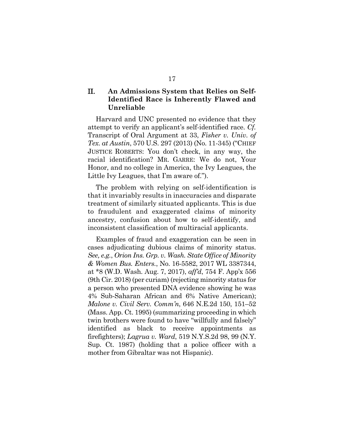### <span id="page-25-0"></span>II. **An Admissions System that Relies on Self-Identified Race is Inherently Flawed and Unreliable**

Harvard and UNC presented no evidence that they attempt to verify an applicant's self-identified race. *Cf.* Transcript of Oral Argument at 33, *Fisher v. Univ. of Tex. at Austin*, 570 U.S. 297 (2013) (No. 11-345) ("CHIEF JUSTICE ROBERTS: You don't check, in any way, the racial identification? MR. GARRE: We do not, Your Honor, and no college in America, the Ivy Leagues, the Little Ivy Leagues, that I'm aware of.").

The problem with relying on self-identification is that it invariably results in inaccuracies and disparate treatment of similarly situated applicants. This is due to fraudulent and exaggerated claims of minority ancestry, confusion about how to self-identify, and inconsistent classification of multiracial applicants.

Examples of fraud and exaggeration can be seen in cases adjudicating dubious claims of minority status. *See, e.g.*, *Orion Ins. Grp. v. Wash. State Office of Minority & Women Bus. Enters.*, No. 16-5582, 2017 WL 3387344, at \*8 (W.D. Wash. Aug. 7, 2017), *aff'd*, 754 F. App'x 556 (9th Cir. 2018) (per curiam) (rejecting minority status for a person who presented DNA evidence showing he was 4% Sub-Saharan African and 6% Native American); *Malone v. Civil Serv. Comm'n*, 646 N.E.2d 150, 151–52 (Mass. App. Ct. 1995) (summarizing proceeding in which twin brothers were found to have "willfully and falsely" identified as black to receive appointments as firefighters); *Lagrua v. Ward*, 519 N.Y.S.2d 98, 99 (N.Y. Sup. Ct. 1987) (holding that a police officer with a mother from Gibraltar was not Hispanic).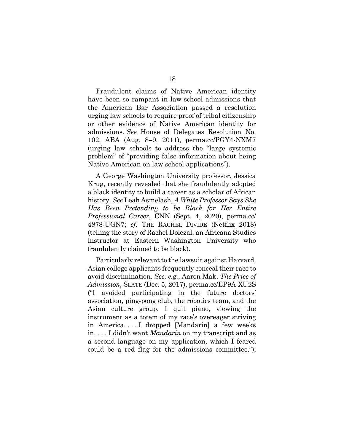Fraudulent claims of Native American identity have been so rampant in law-school admissions that the American Bar Association passed a resolution urging law schools to require proof of tribal citizenship or other evidence of Native American identity for admissions. *See* House of Delegates Resolution No. 102, ABA (Aug. 8–9, 2011), perma.cc/PGY4-NXM7 (urging law schools to address the "large systemic problem" of "providing false information about being Native American on law school applications").

A George Washington University professor, Jessica Krug, recently revealed that she fraudulently adopted a black identity to build a career as a scholar of African history. *See* Leah Asmelash, *A White Professor Says She Has Been Pretending to be Black for Her Entire Professional Career*, CNN (Sept. 4, 2020), perma.cc/ 4878-UGN7; *cf.* THE RACHEL DIVIDE (Netflix 2018) (telling the story of Rachel Dolezal, an Africana Studies instructor at Eastern Washington University who fraudulently claimed to be black).

Particularly relevant to the lawsuit against Harvard, Asian college applicants frequently conceal their race to avoid discrimination. *See, e.g.*, Aaron Mak, *The Price of Admission*, SLATE (Dec. 5, 2017), perma.cc/EP9A-XU2S ("I avoided participating in the future doctors' association, ping-pong club, the robotics team, and the Asian culture group. I quit piano, viewing the instrument as a totem of my race's overeager striving in America. . . . I dropped [Mandarin] a few weeks in. . . . I didn't want *Mandarin* on my transcript and as a second language on my application, which I feared could be a red flag for the admissions committee.");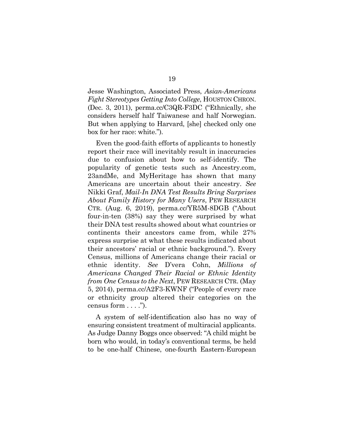Jesse Washington, Associated Press, *Asian-Americans Fight Stereotypes Getting Into College*, HOUSTON CHRON. (Dec. 3, 2011), perma.cc/C3QR-F3DC ("Ethnically, she considers herself half Taiwanese and half Norwegian. But when applying to Harvard, [she] checked only one box for her race: white.").

Even the good-faith efforts of applicants to honestly report their race will inevitably result in inaccuracies due to confusion about how to self-identify. The popularity of genetic tests such as Ancestry.com, 23andMe, and MyHeritage has shown that many Americans are uncertain about their ancestry. *See* Nikki Graf, *Mail-In DNA Test Results Bring Surprises About Family History for Many Users*, PEW RESEARCH CTR. (Aug. 6, 2019), perma.cc/YR5M-8DGB ("About four-in-ten (38%) say they were surprised by what their DNA test results showed about what countries or continents their ancestors came from, while 27% express surprise at what these results indicated about their ancestors' racial or ethnic background."). Every Census, millions of Americans change their racial or ethnic identity. *See* D'vera Cohn, *Millions of Americans Changed Their Racial or Ethnic Identity from One Census to the Next*, PEW RESEARCH CTR. (May 5, 2014), perma.cc/A2F3-KWNF ("People of every race or ethnicity group altered their categories on the census form . . . .").

A system of self-identification also has no way of ensuring consistent treatment of multiracial applicants. As Judge Danny Boggs once observed: "A child might be born who would, in today's conventional terms, be held to be one-half Chinese, one-fourth Eastern-European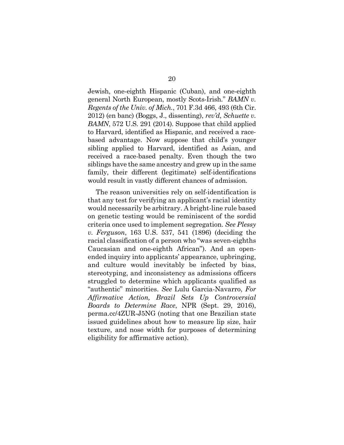Jewish, one-eighth Hispanic (Cuban), and one-eighth general North European, mostly Scots-Irish." *BAMN v. Regents of the Univ. of Mich.*, 701 F.3d 466, 493 (6th Cir. 2012) (en banc) (Boggs, J., dissenting), *rev'd*, *Schuette v. BAMN*, 572 U.S. 291 (2014). Suppose that child applied to Harvard, identified as Hispanic, and received a racebased advantage. Now suppose that child's younger sibling applied to Harvard, identified as Asian, and received a race-based penalty. Even though the two siblings have the same ancestry and grew up in the same family, their different (legitimate) self-identifications would result in vastly different chances of admission.

The reason universities rely on self-identification is that any test for verifying an applicant's racial identity would necessarily be arbitrary. A bright-line rule based on genetic testing would be reminiscent of the sordid criteria once used to implement segregation. *See Plessy v. Ferguson*, 163 U.S. 537, 541 (1896) (deciding the racial classification of a person who "was seven-eighths Caucasian and one-eighth African"). And an openended inquiry into applicants' appearance, upbringing, and culture would inevitably be infected by bias, stereotyping, and inconsistency as admissions officers struggled to determine which applicants qualified as "authentic" minorities. *See* Lulu Garcia-Navarro, *For Affirmative Action, Brazil Sets Up Controversial Boards to Determine Race*, NPR (Sept. 29, 2016), perma.cc/4ZUR-J5NG (noting that one Brazilian state issued guidelines about how to measure lip size, hair texture, and nose width for purposes of determining eligibility for affirmative action).